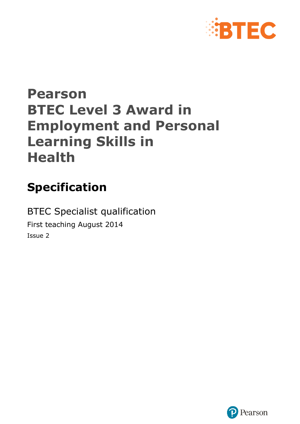

# **Pearson BTEC Level 3 Award in Employment and Personal Learning Skills in Health**

# **Specification**

BTEC Specialist qualification First teaching August 2014 Issue 2

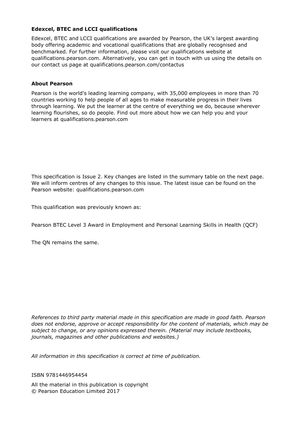#### **Edexcel, BTEC and LCCI qualifications**

Edexcel, BTEC and LCCI qualifications are awarded by Pearson, the UK's largest awarding body offering academic and vocational qualifications that are globally recognised and benchmarked. For further information, please visit our qualifications website at qualifications.pearson.com. Alternatively, you can get in touch with us using the details on our contact us page at qualifications.pearson.com/contactus

#### **About Pearson**

Pearson is the world's leading learning company, with 35,000 employees in more than 70 countries working to help people of all ages to make measurable progress in their lives through learning. We put the learner at the centre of everything we do, because wherever learning flourishes, so do people. Find out more about how we can help you and your learners at qualifications.pearson.com

This specification is Issue 2. Key changes are listed in the summary table on the next page. We will inform centres of any changes to this issue. The latest issue can be found on the Pearson website: qualifications.pearson.com

This qualification was previously known as:

Pearson BTEC Level 3 Award in Employment and Personal Learning Skills in Health (QCF)

The QN remains the same.

*References to third party material made in this specification are made in good faith. Pearson does not endorse, approve or accept responsibility for the content of materials, which may be subject to change, or any opinions expressed therein. (Material may include textbooks, journals, magazines and other publications and websites.)*

*All information in this specification is correct at time of publication.*

#### ISBN 9781446954454

All the material in this publication is copyright © Pearson Education Limited 2017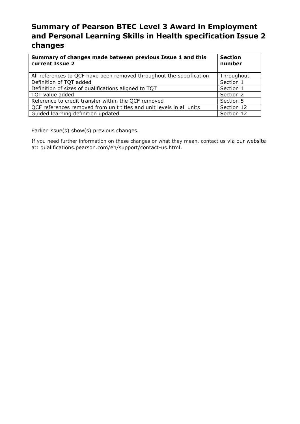### **Summary of Pearson BTEC Level 3 Award in Employment and Personal Learning Skills in Health specification Issue 2 changes**

| Summary of changes made between previous Issue 1 and this<br>current Issue 2 | <b>Section</b><br>number |  |
|------------------------------------------------------------------------------|--------------------------|--|
| All references to QCF have been removed throughout the specification         | Throughout               |  |
| Definition of TQT added                                                      | Section 1                |  |
| Definition of sizes of qualifications aligned to TQT                         | Section 1                |  |
| TQT value added                                                              | Section 2                |  |
| Reference to credit transfer within the QCF removed                          | Section 5                |  |
| QCF references removed from unit titles and unit levels in all units         | Section 12               |  |
| Guided learning definition updated                                           | Section 12               |  |

Earlier issue(s) show(s) previous changes.

If you need further information on these changes or what they mean, contact us via our website at: qualifications.pearson.com/en/support/contact-us.html.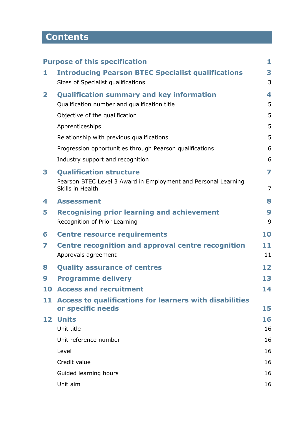## **Contents**

|              | <b>Purpose of this specification</b>                                                            | 1              |
|--------------|-------------------------------------------------------------------------------------------------|----------------|
| 1            | <b>Introducing Pearson BTEC Specialist qualifications</b><br>Sizes of Specialist qualifications | 3<br>3         |
| $\mathbf{2}$ | <b>Qualification summary and key information</b>                                                | 4              |
|              | Qualification number and qualification title                                                    | 5              |
|              | Objective of the qualification                                                                  | 5              |
|              | Apprenticeships                                                                                 | 5              |
|              | Relationship with previous qualifications                                                       | 5              |
|              | Progression opportunities through Pearson qualifications                                        | 6              |
|              | Industry support and recognition                                                                | 6              |
| 3            | <b>Qualification structure</b>                                                                  | 7              |
|              | Pearson BTEC Level 3 Award in Employment and Personal Learning<br>Skills in Health              | $\overline{7}$ |
| 4            | <b>Assessment</b>                                                                               | 8              |
| 5            | <b>Recognising prior learning and achievement</b><br>Recognition of Prior Learning              | 9<br>9         |
| 6            | <b>Centre resource requirements</b>                                                             | 10             |
| 7            | <b>Centre recognition and approval centre recognition</b><br>Approvals agreement                | 11<br>11       |
| 8            | <b>Quality assurance of centres</b>                                                             | 12             |
| 9            | <b>Programme delivery</b>                                                                       | 13             |
|              | <b>10 Access and recruitment</b>                                                                | 14             |
| 11           | Access to qualifications for learners with disabilities<br>or specific needs                    | 15             |
| 12           | <b>Units</b>                                                                                    | 16             |
|              | Unit title                                                                                      | 16             |
|              | Unit reference number                                                                           | 16             |
|              | Level                                                                                           | 16             |
|              | Credit value                                                                                    | 16             |
|              | Guided learning hours                                                                           | 16             |
|              | Unit aim                                                                                        | 16             |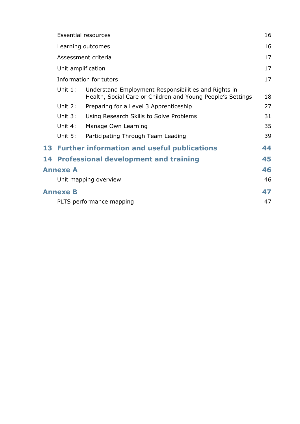|                                                   |                                                    | <b>Essential resources</b>                                                                                          | 16 |  |  |  |  |  |
|---------------------------------------------------|----------------------------------------------------|---------------------------------------------------------------------------------------------------------------------|----|--|--|--|--|--|
|                                                   |                                                    | Learning outcomes                                                                                                   |    |  |  |  |  |  |
|                                                   |                                                    | Assessment criteria                                                                                                 | 17 |  |  |  |  |  |
|                                                   | Unit amplification                                 |                                                                                                                     |    |  |  |  |  |  |
|                                                   |                                                    | Information for tutors                                                                                              | 17 |  |  |  |  |  |
|                                                   | Unit $1:$                                          | Understand Employment Responsibilities and Rights in<br>Health, Social Care or Children and Young People's Settings | 18 |  |  |  |  |  |
| Unit 2:<br>Preparing for a Level 3 Apprenticeship |                                                    |                                                                                                                     |    |  |  |  |  |  |
|                                                   | Unit 3:<br>Using Research Skills to Solve Problems |                                                                                                                     |    |  |  |  |  |  |
|                                                   | Unit 4:                                            | Manage Own Learning                                                                                                 | 35 |  |  |  |  |  |
|                                                   | Unit 5:                                            | Participating Through Team Leading                                                                                  | 39 |  |  |  |  |  |
|                                                   |                                                    | 13 Further information and useful publications                                                                      | 44 |  |  |  |  |  |
|                                                   |                                                    | 14 Professional development and training                                                                            | 45 |  |  |  |  |  |
|                                                   | 46<br><b>Annexe A</b>                              |                                                                                                                     |    |  |  |  |  |  |
|                                                   |                                                    | Unit mapping overview                                                                                               | 46 |  |  |  |  |  |
|                                                   | <b>Annexe B</b>                                    |                                                                                                                     | 47 |  |  |  |  |  |
|                                                   | 47<br>PLTS performance mapping                     |                                                                                                                     |    |  |  |  |  |  |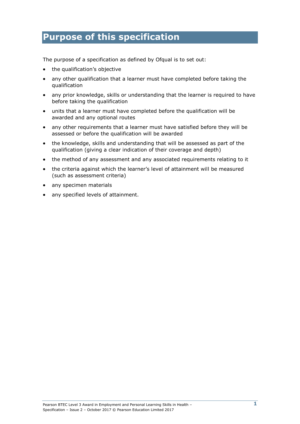## **Purpose of this specification**

The purpose of a specification as defined by Ofqual is to set out:

- the qualification's objective
- any other qualification that a learner must have completed before taking the qualification
- any prior knowledge, skills or understanding that the learner is required to have before taking the qualification
- units that a learner must have completed before the qualification will be awarded and any optional routes
- any other requirements that a learner must have satisfied before they will be assessed or before the qualification will be awarded
- the knowledge, skills and understanding that will be assessed as part of the qualification (giving a clear indication of their coverage and depth)
- the method of any assessment and any associated requirements relating to it
- the criteria against which the learner's level of attainment will be measured (such as assessment criteria)
- any specimen materials
- any specified levels of attainment.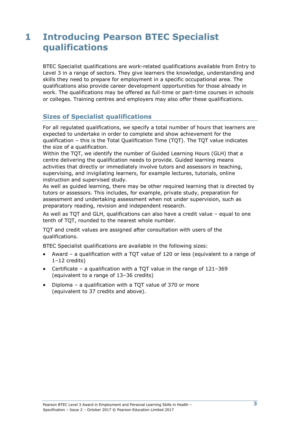## **1 Introducing Pearson BTEC Specialist qualifications**

BTEC Specialist qualifications are work-related qualifications available from Entry to Level 3 in a range of sectors. They give learners the knowledge, understanding and skills they need to prepare for employment in a specific occupational area. The qualifications also provide career development opportunities for those already in work. The qualifications may be offered as full-time or part-time courses in schools or colleges. Training centres and employers may also offer these qualifications.

### **Sizes of Specialist qualifications**

For all regulated qualifications, we specify a total number of hours that learners are expected to undertake in order to complete and show achievement for the qualification – this is the Total Qualification Time (TQT). The TQT value indicates the size of a qualification.

Within the TQT, we identify the number of Guided Learning Hours (GLH) that a centre delivering the qualification needs to provide. Guided learning means activities that directly or immediately involve tutors and assessors in teaching, supervising, and invigilating learners, for example lectures, tutorials, online instruction and supervised study.

As well as guided learning, there may be other required learning that is directed by tutors or assessors. This includes, for example, private study, preparation for assessment and undertaking assessment when not under supervision, such as preparatory reading, revision and independent research.

As well as TQT and GLH, qualifications can also have a credit value – equal to one tenth of TQT, rounded to the nearest whole number.

TQT and credit values are assigned after consultation with users of the qualifications.

BTEC Specialist qualifications are available in the following sizes:

- Award a qualification with a TQT value of 120 or less (equivalent to a range of 1–12 credits)
- Certificate a qualification with a TQT value in the range of 121–369 (equivalent to a range of 13–36 credits)
- Diploma a qualification with a TQT value of 370 or more (equivalent to 37 credits and above).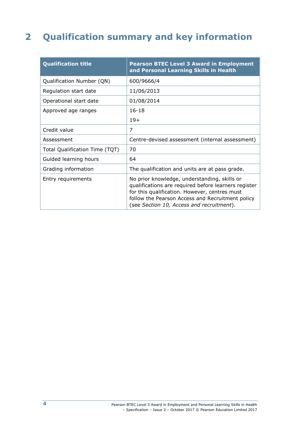## **2 Qualification summary and key information**

| <b>Qualification title</b>     | <b>Pearson BTEC Level 3 Award in Employment</b><br>and Personal Learning Skills in Health                                                                                                                                                              |
|--------------------------------|--------------------------------------------------------------------------------------------------------------------------------------------------------------------------------------------------------------------------------------------------------|
| Qualification Number (QN)      | 600/9666/4                                                                                                                                                                                                                                             |
| Regulation start date          | 11/06/2013                                                                                                                                                                                                                                             |
| Operational start date         | 01/08/2014                                                                                                                                                                                                                                             |
| Approved age ranges            | $16 - 18$                                                                                                                                                                                                                                              |
|                                | $19+$                                                                                                                                                                                                                                                  |
| Credit value                   | 7                                                                                                                                                                                                                                                      |
| Assessment                     | Centre-devised assessment (internal assessment)                                                                                                                                                                                                        |
| Total Qualification Time (TQT) | 70                                                                                                                                                                                                                                                     |
| Guided learning hours          | 64                                                                                                                                                                                                                                                     |
| Grading information            | The qualification and units are at pass grade.                                                                                                                                                                                                         |
| Entry requirements             | No prior knowledge, understanding, skills or<br>qualifications are required before learners register<br>for this qualification. However, centres must<br>follow the Pearson Access and Recruitment policy<br>(see Section 10, Access and recruitment). |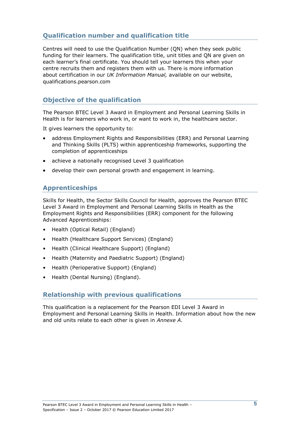### **Qualification number and qualification title**

Centres will need to use the Qualification Number (QN) when they seek public funding for their learners. The qualification title, unit titles and QN are given on each learner's final certificate. You should tell your learners this when your centre recruits them and registers them with us. There is more information about certification in our *UK Information Manual,* available on our website, qualifications.pearson.com

### **Objective of the qualification**

The Pearson BTEC Level 3 Award in Employment and Personal Learning Skills in Health is for learners who work in, or want to work in, the healthcare sector.

It gives learners the opportunity to:

- address Employment Rights and Responsibilities (ERR) and Personal Learning and Thinking Skills (PLTS) within apprenticeship frameworks, supporting the completion of apprenticeships
- achieve a nationally recognised Level 3 qualification
- develop their own personal growth and engagement in learning.

### **Apprenticeships**

Skills for Health, the Sector Skills Council for Health, approves the Pearson BTEC Level 3 Award in Employment and Personal Learning Skills in Health as the Employment Rights and Responsibilities (ERR) component for the following Advanced Apprenticeships:

- Health (Optical Retail) (England)
- Health (Healthcare Support Services) (England)
- Health (Clinical Healthcare Support) (England)
- Health (Maternity and Paediatric Support) (England)
- Health (Perioperative Support) (England)
- Health (Dental Nursing) (England).

### **Relationship with previous qualifications**

This qualification is a replacement for the Pearson EDI Level 3 Award in Employment and Personal Learning Skills in Health. Information about how the new and old units relate to each other is given in *Annexe A*.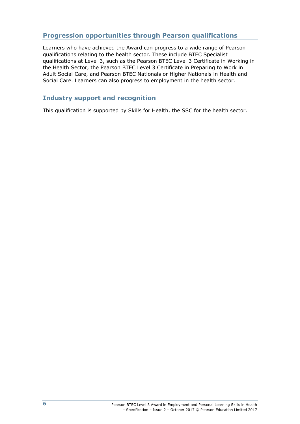### **Progression opportunities through Pearson qualifications**

Learners who have achieved the Award can progress to a wide range of Pearson qualifications relating to the health sector. These include BTEC Specialist qualifications at Level 3, such as the Pearson BTEC Level 3 Certificate in Working in the Health Sector, the Pearson BTEC Level 3 Certificate in Preparing to Work in Adult Social Care, and Pearson BTEC Nationals or Higher Nationals in Health and Social Care. Learners can also progress to employment in the health sector.

### **Industry support and recognition**

This qualification is supported by Skills for Health, the SSC for the health sector.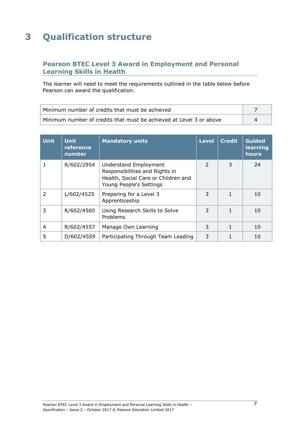## **3 Qualification structure**

### **Pearson BTEC Level 3 Award in Employment and Personal Learning Skills in Health**

The learner will need to meet the requirements outlined in the table below before Pearson can award the qualification.

| Minimum number of credits that must be achieved                     |  |
|---------------------------------------------------------------------|--|
| Minimum number of credits that must be achieved at Level 3 or above |  |

| <b>Unit</b> | <b>Unit</b><br>reference<br>number | <b>Mandatory units</b>                                                                                                    | <b>Level</b>  | <b>Credit</b> | <b>Guided</b><br>learning<br>hours |
|-------------|------------------------------------|---------------------------------------------------------------------------------------------------------------------------|---------------|---------------|------------------------------------|
|             | R/602/2954                         | Understand Employment<br>Responsibilities and Rights in<br>Health, Social Care or Children and<br>Young People's Settings | $\mathcal{L}$ | 3             | 24                                 |
| 2           | L/602/4525                         | Preparing for a Level 3<br>Apprenticeship                                                                                 | 3             |               | 10                                 |
| 3           | R/602/4560                         | Using Research Skills to Solve<br>Problems                                                                                | 3             |               | 10                                 |
| 4           | R/602/4557                         | Manage Own Learning                                                                                                       | 3             |               | 10                                 |
| 5           | D/602/4559                         | Participating Through Team Leading                                                                                        | 3             |               | 10                                 |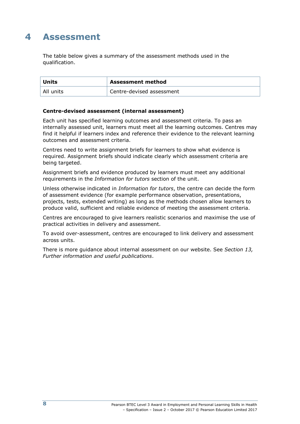## **4 Assessment**

The table below gives a summary of the assessment methods used in the qualification.

| <b>Units</b> | <b>Assessment method</b>  |
|--------------|---------------------------|
| All units    | Centre-devised assessment |

#### **Centre-devised assessment (internal assessment)**

Each unit has specified learning outcomes and assessment criteria. To pass an internally assessed unit, learners must meet all the learning outcomes. Centres may find it helpful if learners index and reference their evidence to the relevant learning outcomes and assessment criteria.

Centres need to write assignment briefs for learners to show what evidence is required. Assignment briefs should indicate clearly which assessment criteria are being targeted.

Assignment briefs and evidence produced by learners must meet any additional requirements in the *Information for tutors* section of the unit.

Unless otherwise indicated in *Information for tutors*, the centre can decide the form of assessment evidence (for example performance observation, presentations, projects, tests, extended writing) as long as the methods chosen allow learners to produce valid, sufficient and reliable evidence of meeting the assessment criteria.

Centres are encouraged to give learners realistic scenarios and maximise the use of practical activities in delivery and assessment.

To avoid over-assessment, centres are encouraged to link delivery and assessment across units.

There is more guidance about internal assessment on our website. See *Section 13, Further information and useful publications*.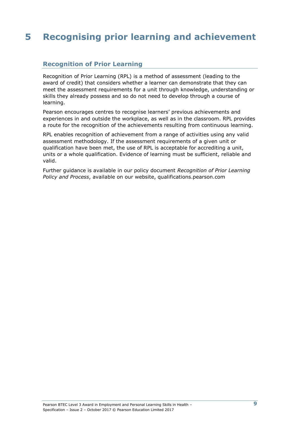## **5 Recognising prior learning and achievement**

### **Recognition of Prior Learning**

Recognition of Prior Learning (RPL) is a method of assessment (leading to the award of credit) that considers whether a learner can demonstrate that they can meet the assessment requirements for a unit through knowledge, understanding or skills they already possess and so do not need to develop through a course of learning.

Pearson encourages centres to recognise learners' previous achievements and experiences in and outside the workplace, as well as in the classroom. RPL provides a route for the recognition of the achievements resulting from continuous learning.

RPL enables recognition of achievement from a range of activities using any valid assessment methodology. If the assessment requirements of a given unit or qualification have been met, the use of RPL is acceptable for accrediting a unit, units or a whole qualification. Evidence of learning must be sufficient, reliable and valid.

Further guidance is available in our policy document *Recognition of Prior Learning Policy and Process*, available on our website, qualifications.pearson.com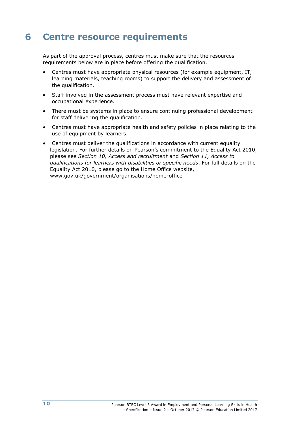## **6 Centre resource requirements**

As part of the approval process, centres must make sure that the resources requirements below are in place before offering the qualification.

- Centres must have appropriate physical resources (for example equipment, IT, learning materials, teaching rooms) to support the delivery and assessment of the qualification.
- Staff involved in the assessment process must have relevant expertise and occupational experience.
- There must be systems in place to ensure continuing professional development for staff delivering the qualification.
- Centres must have appropriate health and safety policies in place relating to the use of equipment by learners.
- Centres must deliver the qualifications in accordance with current equality legislation. For further details on Pearson's commitment to the Equality Act 2010, please see *Section 10, Access and recruitment* and *Section 11, Access to qualifications for learners with disabilities or specific needs*. For full details on the Equality Act 2010, please go to the Home Office website, [www.gov.uk/government/organisations/home-office](http://www.gov.uk/government/organisations/home-office)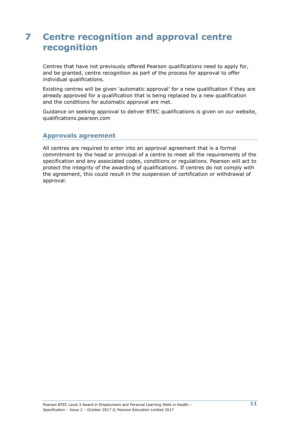## **7 Centre recognition and approval centre recognition**

Centres that have not previously offered Pearson qualifications need to apply for, and be granted, centre recognition as part of the process for approval to offer individual qualifications.

Existing centres will be given 'automatic approval' for a new qualification if they are already approved for a qualification that is being replaced by a new qualification and the conditions for automatic approval are met.

Guidance on seeking approval to deliver BTEC qualifications is given on our website, qualifications.pearson.com

### **Approvals agreement**

All centres are required to enter into an approval agreement that is a formal commitment by the head or principal of a centre to meet all the requirements of the specification and any associated codes, conditions or regulations. Pearson will act to protect the integrity of the awarding of qualifications. If centres do not comply with the agreement, this could result in the suspension of certification or withdrawal of approval.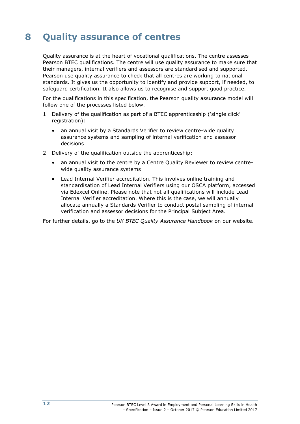## **8 Quality assurance of centres**

Quality assurance is at the heart of vocational qualifications. The centre assesses Pearson BTEC qualifications. The centre will use quality assurance to make sure that their managers, internal verifiers and assessors are standardised and supported. Pearson use quality assurance to check that all centres are working to national standards. It gives us the opportunity to identify and provide support, if needed, to safeguard certification. It also allows us to recognise and support good practice.

For the qualifications in this specification, the Pearson quality assurance model will follow one of the processes listed below.

- 1 Delivery of the qualification as part of a BTEC apprenticeship ('single click' registration):
	- an annual visit by a Standards Verifier to review centre-wide quality assurance systems and sampling of internal verification and assessor decisions
- 2 Delivery of the qualification outside the apprenticeship:
	- an annual visit to the centre by a Centre Quality Reviewer to review centrewide quality assurance systems
	- Lead Internal Verifier accreditation. This involves online training and standardisation of Lead Internal Verifiers using our OSCA platform, accessed via Edexcel Online. Please note that not all qualifications will include Lead Internal Verifier accreditation. Where this is the case, we will annually allocate annually a Standards Verifier to conduct postal sampling of internal verification and assessor decisions for the Principal Subject Area.

For further details, go to the *UK BTEC Quality Assurance Handbook* [on](http://www.edexcel.com/quals/BTEC/quality/Pages/documents.aspx) our website.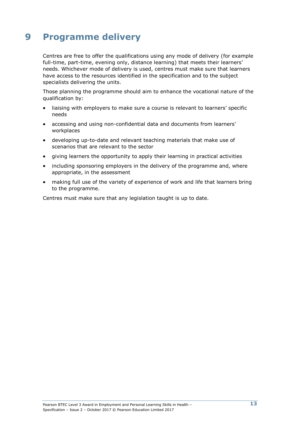## **9 Programme delivery**

Centres are free to offer the qualifications using any mode of delivery (for example full-time, part-time, evening only, distance learning) that meets their learners' needs. Whichever mode of delivery is used, centres must make sure that learners have access to the resources identified in the specification and to the subject specialists delivering the units.

Those planning the programme should aim to enhance the vocational nature of the qualification by:

- liaising with employers to make sure a course is relevant to learners' specific needs
- accessing and using non-confidential data and documents from learners' workplaces
- developing up-to-date and relevant teaching materials that make use of scenarios that are relevant to the sector
- giving learners the opportunity to apply their learning in practical activities
- including sponsoring employers in the delivery of the programme and, where appropriate, in the assessment
- making full use of the variety of experience of work and life that learners bring to the programme.

Centres must make sure that any legislation taught is up to date.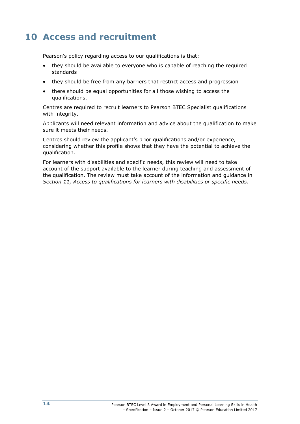## **10 Access and recruitment**

Pearson's policy regarding access to our qualifications is that:

- they should be available to everyone who is capable of reaching the required standards
- they should be free from any barriers that restrict access and progression
- there should be equal opportunities for all those wishing to access the qualifications.

Centres are required to recruit learners to Pearson BTEC Specialist qualifications with integrity.

Applicants will need relevant information and advice about the qualification to make sure it meets their needs.

Centres should review the applicant's prior qualifications and/or experience, considering whether this profile shows that they have the potential to achieve the qualification.

For learners with disabilities and specific needs, this review will need to take account of the support available to the learner during teaching and assessment of the qualification. The review must take account of the information and guidance in *Section 11, Access to qualifications for learners with disabilities or specific needs*.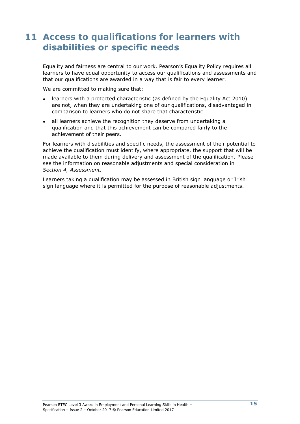## **11 Access to qualifications for learners with disabilities or specific needs**

Equality and fairness are central to our work. Pearson's Equality Policy requires all learners to have equal opportunity to access our qualifications and assessments and that our qualifications are awarded in a way that is fair to every learner.

We are committed to making sure that:

- learners with a protected characteristic (as defined by the Equality Act 2010) are not, when they are undertaking one of our qualifications, disadvantaged in comparison to learners who do not share that characteristic
- all learners achieve the recognition they deserve from undertaking a qualification and that this achievement can be compared fairly to the achievement of their peers.

For learners with disabilities and specific needs, the assessment of their potential to achieve the qualification must identify, where appropriate, the support that will be made available to them during delivery and assessment of the qualification. Please see the information on reasonable adjustments and special consideration in *Section 4, Assessment.*

Learners taking a qualification may be assessed in British sign language or Irish sign language where it is permitted for the purpose of reasonable adjustments.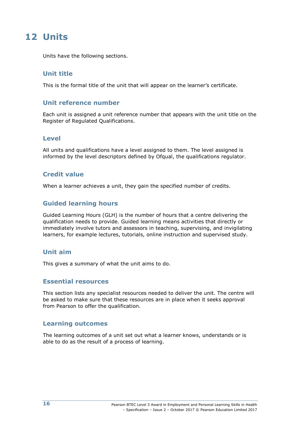## **12 Units**

Units have the following sections.

### **Unit title**

This is the formal title of the unit that will appear on the learner's certificate.

### **Unit reference number**

Each unit is assigned a unit reference number that appears with the unit title on the Register of Regulated Qualifications.

### **Level**

All units and qualifications have a level assigned to them. The level assigned is informed by the level descriptors defined by Ofqual, the qualifications regulator.

### **Credit value**

When a learner achieves a unit, they gain the specified number of credits.

### **Guided learning hours**

Guided Learning Hours (GLH) is the number of hours that a centre delivering the qualification needs to provide. Guided learning means activities that directly or immediately involve tutors and assessors in teaching, supervising, and invigilating learners, for example lectures, tutorials, online instruction and supervised study.

### **Unit aim**

This gives a summary of what the unit aims to do.

#### **Essential resources**

This section lists any specialist resources needed to deliver the unit. The centre will be asked to make sure that these resources are in place when it seeks approval from Pearson to offer the qualification.

### **Learning outcomes**

The learning outcomes of a unit set out what a learner knows, understands or is able to do as the result of a process of learning.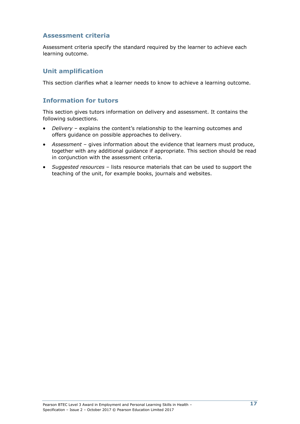### **Assessment criteria**

Assessment criteria specify the standard required by the learner to achieve each learning outcome.

### **Unit amplification**

This section clarifies what a learner needs to know to achieve a learning outcome.

### **Information for tutors**

This section gives tutors information on delivery and assessment. It contains the following subsections.

- *Delivery* explains the content's relationship to the learning outcomes and offers guidance on possible approaches to delivery.
- *Assessment*  gives information about the evidence that learners must produce, together with any additional guidance if appropriate. This section should be read in conjunction with the assessment criteria.
- *Suggested resources*  lists resource materials that can be used to support the teaching of the unit, for example books, journals and websites.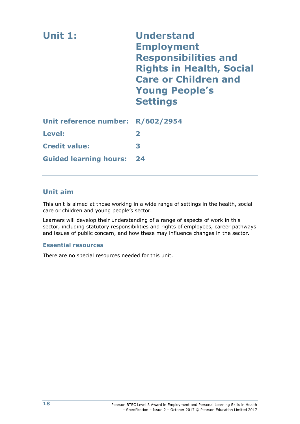| Unit 1:                           | <b>Understand</b><br><b>Employment</b><br><b>Responsibilities and</b><br><b>Rights in Health, Social</b><br><b>Care or Children and</b><br><b>Young People's</b><br><b>Settings</b> |
|-----------------------------------|-------------------------------------------------------------------------------------------------------------------------------------------------------------------------------------|
| Unit reference number: R/602/2954 |                                                                                                                                                                                     |
| Level:                            | $\overline{\mathbf{2}}$                                                                                                                                                             |
| <b>Credit value:</b>              | 3                                                                                                                                                                                   |
| <b>Guided learning hours:</b>     | 24                                                                                                                                                                                  |

### **Unit aim**

This unit is aimed at those working in a wide range of settings in the health, social care or children and young people's sector.

Learners will develop their understanding of a range of aspects of work in this sector, including statutory responsibilities and rights of employees, career pathways and issues of public concern, and how these may influence changes in the sector.

#### **Essential resources**

There are no special resources needed for this unit.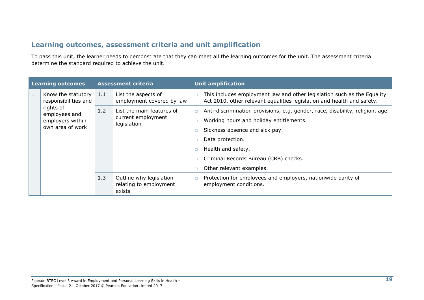### **Learning outcomes, assessment criteria and unit amplification**

To pass this unit, the learner needs to demonstrate that they can meet all the learning outcomes for the unit. The assessment criteria determine the standard required to achieve the unit.

| <b>Learning outcomes</b> |                                                                    |     | <b>Assessment criteria</b>                                     |        | <b>Unit amplification</b>                                                                                                                                                                                                                                                 |
|--------------------------|--------------------------------------------------------------------|-----|----------------------------------------------------------------|--------|---------------------------------------------------------------------------------------------------------------------------------------------------------------------------------------------------------------------------------------------------------------------------|
| $\mathbf{1}$             | Know the statutory<br>responsibilities and                         | 1.1 | List the aspects of<br>employment covered by law               | $\Box$ | This includes employment law and other legislation such as the Equality<br>Act 2010, other relevant equalities legislation and health and safety.                                                                                                                         |
|                          | rights of<br>employees and<br>employers within<br>own area of work | 1.2 | List the main features of<br>current employment<br>legislation |        | Anti-discrimination provisions, e.g. gender, race, disability, religion, age.<br>Working hours and holiday entitlements.<br>Sickness absence and sick pay.<br>Data protection.<br>Health and safety.<br>Criminal Records Bureau (CRB) checks.<br>Other relevant examples. |
|                          |                                                                    | 1.3 | Outline why legislation<br>relating to employment<br>exists    | $\Box$ | Protection for employees and employers, nationwide parity of<br>employment conditions.                                                                                                                                                                                    |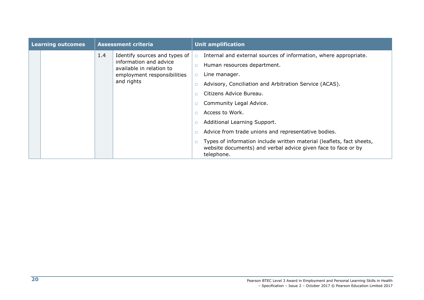| <b>Assessment criteria</b><br><b>Learning outcomes</b> |  |            | <b>Unit amplification</b>                          |        |                                                                                                                                                      |
|--------------------------------------------------------|--|------------|----------------------------------------------------|--------|------------------------------------------------------------------------------------------------------------------------------------------------------|
|                                                        |  | 1.4        | Identify sources and types of                      | $\Box$ | Internal and external sources of information, where appropriate.                                                                                     |
|                                                        |  |            | information and advice<br>available in relation to |        | Human resources department.                                                                                                                          |
|                                                        |  |            | employment responsibilities                        | $\Box$ | Line manager.                                                                                                                                        |
|                                                        |  | and rights |                                                    |        | Advisory, Conciliation and Arbitration Service (ACAS).                                                                                               |
|                                                        |  |            |                                                    |        | Citizens Advice Bureau.                                                                                                                              |
|                                                        |  |            |                                                    |        | Community Legal Advice.                                                                                                                              |
|                                                        |  |            |                                                    |        | Access to Work.                                                                                                                                      |
|                                                        |  |            |                                                    |        | Additional Learning Support.                                                                                                                         |
|                                                        |  |            |                                                    |        |                                                                                                                                                      |
|                                                        |  |            |                                                    |        | Types of information include written material (leaflets, fact sheets,<br>website documents) and verbal advice given face to face or by<br>telephone. |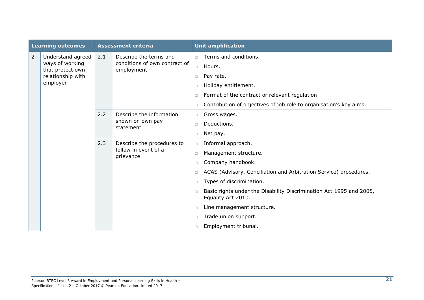| <b>Learning outcomes</b> |                                     | <b>Assessment criteria</b> |                                                                 |        | <b>Unit amplification</b>                                                                 |  |  |  |
|--------------------------|-------------------------------------|----------------------------|-----------------------------------------------------------------|--------|-------------------------------------------------------------------------------------------|--|--|--|
| $\overline{2}$           | Understand agreed                   | 2.1                        | Describe the terms and                                          | $\Box$ | Terms and conditions.                                                                     |  |  |  |
|                          | ways of working<br>that protect own |                            | conditions of own contract of<br>employment                     | $\Box$ | Hours.                                                                                    |  |  |  |
|                          | relationship with                   |                            |                                                                 | $\Box$ | Pay rate.                                                                                 |  |  |  |
|                          | employer                            |                            |                                                                 | $\Box$ | Holiday entitlement.                                                                      |  |  |  |
|                          |                                     |                            |                                                                 | □      | Format of the contract or relevant regulation.                                            |  |  |  |
|                          |                                     |                            |                                                                 | $\Box$ | Contribution of objectives of job role to organisation's key aims.                        |  |  |  |
|                          |                                     | 2.2                        | Describe the information<br>shown on own pay<br>statement       | $\Box$ | Gross wages.                                                                              |  |  |  |
|                          |                                     |                            |                                                                 | $\Box$ | Deductions.                                                                               |  |  |  |
|                          |                                     |                            |                                                                 | $\Box$ | Net pay.                                                                                  |  |  |  |
|                          |                                     | 2.3                        | Describe the procedures to<br>follow in event of a<br>grievance | $\Box$ | Informal approach.                                                                        |  |  |  |
|                          |                                     |                            |                                                                 | $\Box$ | Management structure.                                                                     |  |  |  |
|                          |                                     |                            |                                                                 | $\Box$ | Company handbook.                                                                         |  |  |  |
|                          |                                     |                            |                                                                 | 0      | ACAS (Advisory, Conciliation and Arbitration Service) procedures.                         |  |  |  |
|                          |                                     |                            |                                                                 | n.     | Types of discrimination.                                                                  |  |  |  |
|                          |                                     |                            |                                                                 | $\Box$ | Basic rights under the Disability Discrimination Act 1995 and 2005,<br>Equality Act 2010. |  |  |  |
|                          |                                     |                            |                                                                 | $\Box$ | Line management structure.                                                                |  |  |  |
|                          |                                     |                            |                                                                 | $\Box$ | Trade union support.                                                                      |  |  |  |
|                          |                                     |                            |                                                                 | □      | Employment tribunal.                                                                      |  |  |  |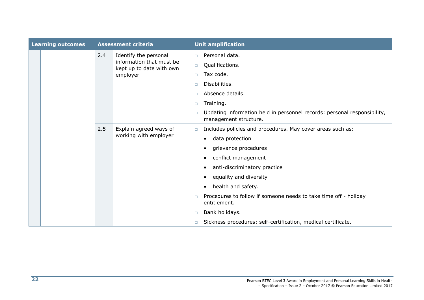| <b>Learning outcomes</b> |  | <b>Assessment criteria</b> |                                                      | <b>Unit amplification</b> |                                                                                                   |  |
|--------------------------|--|----------------------------|------------------------------------------------------|---------------------------|---------------------------------------------------------------------------------------------------|--|
|                          |  | 2.4                        | Identify the personal                                | $\Box$                    | Personal data.                                                                                    |  |
|                          |  |                            | information that must be<br>kept up to date with own | $\Box$                    | Qualifications.                                                                                   |  |
|                          |  |                            | employer                                             | $\Box$                    | Tax code.                                                                                         |  |
|                          |  |                            |                                                      | $\Box$                    | Disabilities.                                                                                     |  |
|                          |  |                            |                                                      | $\Box$                    | Absence details.                                                                                  |  |
|                          |  |                            |                                                      | $\Box$                    | Training.                                                                                         |  |
|                          |  |                            |                                                      | $\Box$                    | Updating information held in personnel records: personal responsibility,<br>management structure. |  |
|                          |  | 2.5                        | Explain agreed ways of                               | $\Box$                    | Includes policies and procedures. May cover areas such as:                                        |  |
|                          |  |                            | working with employer                                |                           | data protection                                                                                   |  |
|                          |  |                            |                                                      |                           | grievance procedures                                                                              |  |
|                          |  |                            |                                                      |                           | conflict management                                                                               |  |
|                          |  |                            |                                                      |                           | anti-discriminatory practice                                                                      |  |
|                          |  |                            |                                                      |                           | equality and diversity                                                                            |  |
|                          |  |                            |                                                      |                           | health and safety.                                                                                |  |
|                          |  |                            |                                                      | $\Box$                    | Procedures to follow if someone needs to take time off - holiday<br>entitlement.                  |  |
|                          |  |                            |                                                      | $\Box$                    | Bank holidays.                                                                                    |  |
|                          |  |                            |                                                      | $\Box$                    | Sickness procedures: self-certification, medical certificate.                                     |  |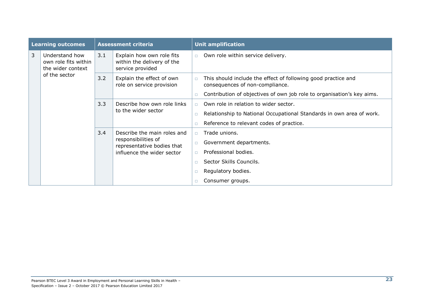| <b>Learning outcomes</b> |                                                             | <b>Assessment criteria</b> |                                                                                                                |        | <b>Unit amplification</b>                                                                        |
|--------------------------|-------------------------------------------------------------|----------------------------|----------------------------------------------------------------------------------------------------------------|--------|--------------------------------------------------------------------------------------------------|
| 3                        | Understand how<br>own role fits within<br>the wider context | 3.1                        | Explain how own role fits<br>within the delivery of the<br>service provided                                    | $\Box$ | Own role within service delivery.                                                                |
|                          | of the sector                                               | 3.2                        | Explain the effect of own<br>role on service provision                                                         | $\Box$ | This should include the effect of following good practice and<br>consequences of non-compliance. |
|                          |                                                             |                            |                                                                                                                | $\Box$ | Contribution of objectives of own job role to organisation's key aims.                           |
|                          |                                                             | 3.3                        | Describe how own role links<br>to the wider sector                                                             | $\Box$ | Own role in relation to wider sector.                                                            |
|                          |                                                             |                            |                                                                                                                | $\Box$ | Relationship to National Occupational Standards in own area of work.                             |
|                          |                                                             |                            |                                                                                                                | п      | Reference to relevant codes of practice.                                                         |
|                          |                                                             | 3.4                        | Describe the main roles and<br>responsibilities of<br>representative bodies that<br>influence the wider sector | $\Box$ | Trade unions.                                                                                    |
|                          |                                                             |                            |                                                                                                                | $\Box$ | Government departments.                                                                          |
|                          |                                                             |                            |                                                                                                                | $\Box$ | Professional bodies.                                                                             |
|                          |                                                             |                            |                                                                                                                | п      | Sector Skills Councils.                                                                          |
|                          |                                                             |                            |                                                                                                                | □      | Regulatory bodies.                                                                               |
|                          |                                                             |                            |                                                                                                                |        | Consumer groups.                                                                                 |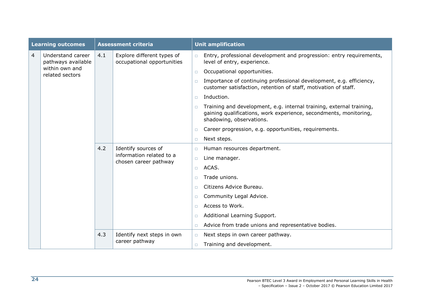|   | <b>Learning outcomes</b>                |     | <b>Assessment criteria</b>                                               |        | <b>Unit amplification</b>                                                                                                                                             |
|---|-----------------------------------------|-----|--------------------------------------------------------------------------|--------|-----------------------------------------------------------------------------------------------------------------------------------------------------------------------|
| 4 | Understand career<br>pathways available | 4.1 | Explore different types of<br>occupational opportunities                 | $\Box$ | Entry, professional development and progression: entry requirements,<br>level of entry, experience.                                                                   |
|   | within own and<br>related sectors       |     |                                                                          | $\Box$ | Occupational opportunities.                                                                                                                                           |
|   |                                         |     |                                                                          | $\Box$ | Importance of continuing professional development, e.g. efficiency,<br>customer satisfaction, retention of staff, motivation of staff.                                |
|   |                                         |     |                                                                          | $\Box$ | Induction.                                                                                                                                                            |
|   |                                         |     |                                                                          | $\Box$ | Training and development, e.g. internal training, external training,<br>gaining qualifications, work experience, secondments, monitoring,<br>shadowing, observations. |
|   |                                         |     |                                                                          | $\Box$ | Career progression, e.g. opportunities, requirements.                                                                                                                 |
|   |                                         |     |                                                                          | $\Box$ | Next steps.                                                                                                                                                           |
|   |                                         | 4.2 | Identify sources of<br>information related to a<br>chosen career pathway | $\Box$ | Human resources department.                                                                                                                                           |
|   |                                         |     |                                                                          | $\Box$ | Line manager.                                                                                                                                                         |
|   |                                         |     |                                                                          | $\Box$ | ACAS.                                                                                                                                                                 |
|   |                                         |     |                                                                          | $\Box$ | Trade unions.                                                                                                                                                         |
|   |                                         |     |                                                                          | $\Box$ | Citizens Advice Bureau.                                                                                                                                               |
|   |                                         |     |                                                                          | $\Box$ | Community Legal Advice.                                                                                                                                               |
|   |                                         |     |                                                                          | $\Box$ | Access to Work.                                                                                                                                                       |
|   |                                         |     |                                                                          | $\Box$ | Additional Learning Support.                                                                                                                                          |
|   |                                         |     |                                                                          | $\Box$ | Advice from trade unions and representative bodies.                                                                                                                   |
|   |                                         | 4.3 | Identify next steps in own                                               | $\Box$ | Next steps in own career pathway.                                                                                                                                     |
|   |                                         |     | career pathway                                                           | $\Box$ | Training and development.                                                                                                                                             |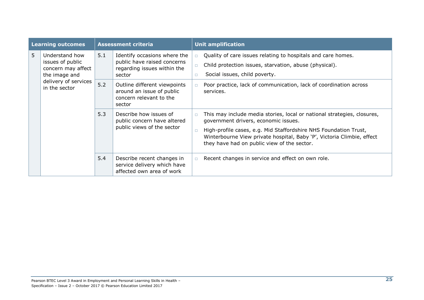| <b>Learning outcomes</b> |                                                                                                                    | <b>Assessment criteria</b> |                                                                                                      |                            | <b>Unit amplification</b>                                                                                                                                                                                                                                                                                    |  |
|--------------------------|--------------------------------------------------------------------------------------------------------------------|----------------------------|------------------------------------------------------------------------------------------------------|----------------------------|--------------------------------------------------------------------------------------------------------------------------------------------------------------------------------------------------------------------------------------------------------------------------------------------------------------|--|
| 5.                       | Understand how<br>issues of public<br>concern may affect<br>the image and<br>delivery of services<br>in the sector | 5.1                        | Identify occasions where the<br>public have raised concerns<br>regarding issues within the<br>sector | $\Box$<br>$\Box$<br>$\Box$ | Quality of care issues relating to hospitals and care homes.<br>Child protection issues, starvation, abuse (physical).<br>Social issues, child poverty.                                                                                                                                                      |  |
|                          |                                                                                                                    | 5.2                        | Outline different viewpoints<br>around an issue of public<br>concern relevant to the<br>sector       | $\Box$                     | Poor practice, lack of communication, lack of coordination across<br>services.                                                                                                                                                                                                                               |  |
|                          |                                                                                                                    | 5.3                        | Describe how issues of<br>public concern have altered<br>public views of the sector                  | $\Box$<br>$\Box$           | This may include media stories, local or national strategies, closures,<br>government drivers, economic issues.<br>High-profile cases, e.g. Mid Staffordshire NHS Foundation Trust,<br>Winterbourne View private hospital, Baby 'P', Victoria Climbie, effect<br>they have had on public view of the sector. |  |
|                          |                                                                                                                    | 5.4                        | Describe recent changes in<br>service delivery which have<br>affected own area of work               | $\Box$                     | Recent changes in service and effect on own role.                                                                                                                                                                                                                                                            |  |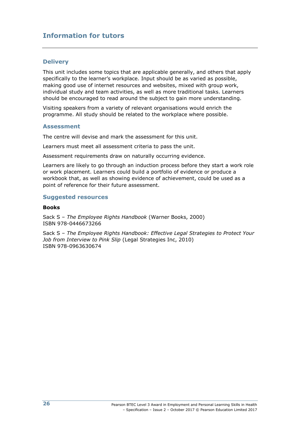### **Information for tutors**

#### **Delivery**

This unit includes some topics that are applicable generally, and others that apply specifically to the learner's workplace. Input should be as varied as possible, making good use of internet resources and websites, mixed with group work, individual study and team activities, as well as more traditional tasks. Learners should be encouraged to read around the subject to gain more understanding.

Visiting speakers from a variety of relevant organisations would enrich the programme. All study should be related to the workplace where possible.

#### **Assessment**

The centre will devise and mark the assessment for this unit.

Learners must meet all assessment criteria to pass the unit.

Assessment requirements draw on naturally occurring evidence.

Learners are likely to go through an induction process before they start a work role or work placement. Learners could build a portfolio of evidence or produce a workbook that, as well as showing evidence of achievement, could be used as a point of reference for their future assessment.

#### **Suggested resources**

#### **Books**

Sack S – *The Employee Rights Handbook* (Warner Books, 2000) ISBN 978-0446673266

Sack S – *The Employee Rights Handbook: Effective Legal Strategies to Protect Your Job from Interview to Pink Slip* (Legal Strategies Inc, 2010) ISBN 978-0963630674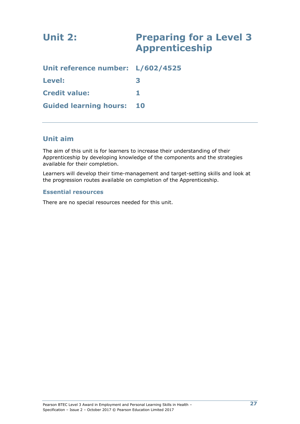| Unit 2:                           | <b>Preparing for a Level 3</b><br><b>Apprenticeship</b> |
|-----------------------------------|---------------------------------------------------------|
| Unit reference number: L/602/4525 |                                                         |
| Level:                            | 3                                                       |
| <b>Credit value:</b>              |                                                         |
| <b>Guided learning hours:</b>     | 10                                                      |

### **Unit aim**

The aim of this unit is for learners to increase their understanding of their Apprenticeship by developing knowledge of the components and the strategies available for their completion.

Learners will develop their time-management and target-setting skills and look at the progression routes available on completion of the Apprenticeship.

#### **Essential resources**

There are no special resources needed for this unit.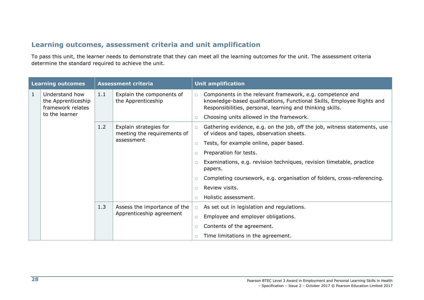### **Learning outcomes, assessment criteria and unit amplification**

To pass this unit, the learner needs to demonstrate that they can meet all the learning outcomes for the unit. The assessment criteria determine the standard required to achieve the unit.

|              | <b>Learning outcomes</b>                                  | <b>Assessment criteria</b> |                                                          |        | <b>Unit amplification</b>                                                                                                                                                                        |
|--------------|-----------------------------------------------------------|----------------------------|----------------------------------------------------------|--------|--------------------------------------------------------------------------------------------------------------------------------------------------------------------------------------------------|
| $\mathbf{1}$ | Understand how<br>the Apprenticeship<br>framework relates | 1.1                        | Explain the components of<br>the Apprenticeship          | $\Box$ | Components in the relevant framework, e.g. competence and<br>knowledge-based qualifications, Functional Skills, Employee Rights and<br>Responsibilities, personal, learning and thinking skills. |
|              | to the learner                                            |                            |                                                          | $\Box$ | Choosing units allowed in the framework.                                                                                                                                                         |
|              |                                                           | 1.2                        | Explain strategies for<br>meeting the requirements of    | $\Box$ | Gathering evidence, e.g. on the job, off the job, witness statements, use<br>of videos and tapes, observation sheets.                                                                            |
|              |                                                           |                            | assessment                                               | $\Box$ | Tests, for example online, paper based.                                                                                                                                                          |
|              |                                                           |                            |                                                          | $\Box$ | Preparation for tests.                                                                                                                                                                           |
|              |                                                           |                            |                                                          | $\Box$ | Examinations, e.g. revision techniques, revision timetable, practice<br>papers.                                                                                                                  |
|              |                                                           |                            |                                                          | $\Box$ | Completing coursework, e.g. organisation of folders, cross-referencing.                                                                                                                          |
|              |                                                           |                            |                                                          | $\Box$ | Review visits.                                                                                                                                                                                   |
|              |                                                           |                            |                                                          | $\Box$ | Holistic assessment.                                                                                                                                                                             |
|              |                                                           | 1.3                        | Assess the importance of the<br>Apprenticeship agreement | $\Box$ | As set out in legislation and regulations.                                                                                                                                                       |
|              |                                                           |                            |                                                          | $\Box$ | Employee and employer obligations.                                                                                                                                                               |
|              |                                                           |                            |                                                          | $\Box$ | Contents of the agreement.                                                                                                                                                                       |
|              |                                                           |                            |                                                          | $\Box$ | Time limitations in the agreement.                                                                                                                                                               |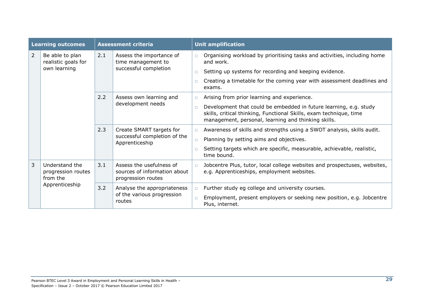|   | <b>Learning outcomes</b>                         | <b>Assessment criteria</b> |                                                                                |        | <b>Unit amplification</b>                                                                                                                                                                      |  |
|---|--------------------------------------------------|----------------------------|--------------------------------------------------------------------------------|--------|------------------------------------------------------------------------------------------------------------------------------------------------------------------------------------------------|--|
| 2 | Be able to plan<br>realistic goals for           | 2.1                        | Assess the importance of<br>time management to                                 | $\Box$ | Organising workload by prioritising tasks and activities, including home<br>and work.                                                                                                          |  |
|   | own learning                                     |                            | successful completion                                                          | $\Box$ | Setting up systems for recording and keeping evidence.                                                                                                                                         |  |
|   |                                                  |                            |                                                                                |        | Creating a timetable for the coming year with assessment deadlines and<br>exams.                                                                                                               |  |
|   |                                                  | 2.2                        | Assess own learning and                                                        | $\Box$ | Arising from prior learning and experience.                                                                                                                                                    |  |
|   |                                                  |                            | development needs                                                              | $\Box$ | Development that could be embedded in future learning, e.g. study<br>skills, critical thinking, Functional Skills, exam technique, time<br>management, personal, learning and thinking skills. |  |
|   |                                                  | 2.3                        | Create SMART targets for<br>successful completion of the<br>Apprenticeship     | $\Box$ | Awareness of skills and strengths using a SWOT analysis, skills audit.                                                                                                                         |  |
|   |                                                  |                            |                                                                                | $\Box$ | Planning by setting aims and objectives.                                                                                                                                                       |  |
|   |                                                  |                            |                                                                                | n.     | Setting targets which are specific, measurable, achievable, realistic,<br>time bound.                                                                                                          |  |
| 3 | Understand the<br>progression routes<br>from the | 3.1                        | Assess the usefulness of<br>sources of information about<br>progression routes | $\Box$ | Jobcentre Plus, tutor, local college websites and prospectuses, websites,<br>e.g. Apprenticeships, employment websites.                                                                        |  |
|   | Apprenticeship                                   | 3.2                        | Analyse the appropriateness                                                    | $\Box$ | Further study eg college and university courses.                                                                                                                                               |  |
|   |                                                  |                            | of the various progression<br>routes                                           |        | Employment, present employers or seeking new position, e.g. Jobcentre<br>Plus, internet.                                                                                                       |  |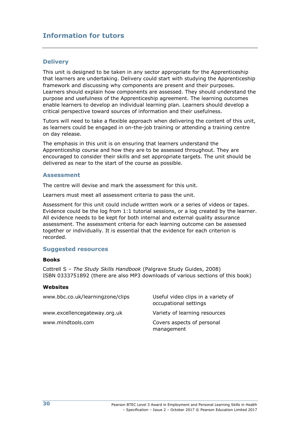### **Information for tutors**

#### **Delivery**

This unit is designed to be taken in any sector appropriate for the Apprenticeship that learners are undertaking. Delivery could start with studying the Apprenticeship framework and discussing why components are present and their purposes. Learners should explain how components are assessed. They should understand the purpose and usefulness of the Apprenticeship agreement. The learning outcomes enable learners to develop an individual learning plan. Learners should develop a critical perspective toward sources of information and their usefulness.

Tutors will need to take a flexible approach when delivering the content of this unit, as learners could be engaged in on-the-job training or attending a training centre on day release.

The emphasis in this unit is on ensuring that learners understand the Apprenticeship course and how they are to be assessed throughout. They are encouraged to consider their skills and set appropriate targets. The unit should be delivered as near to the start of the course as possible.

#### **Assessment**

The centre will devise and mark the assessment for this unit.

Learners must meet all assessment criteria to pass the unit.

Assessment for this unit could include written work or a series of videos or tapes. Evidence could be the log from 1:1 tutorial sessions, or a log created by the learner. All evidence needs to be kept for both internal and external quality assurance assessment. The assessment criteria for each learning outcome can be assessed together or individually. It is essential that the evidence for each criterion is recorded.

#### **Suggested resources**

#### **Books**

Cottrell S – *The Study Skills Handbook* (Palgrave Study Guides, 2008) ISBN 0333751892 (there are also MP3 downloads of various sections of this book)

#### **Websites**

| www.bbc.co.uk/learningzone/clips | Useful video clips in a variety of<br>occupational settings |
|----------------------------------|-------------------------------------------------------------|
| www.excellencegateway.org.uk     | Variety of learning resources                               |
| www.mindtools.com                | Covers aspects of personal<br>management                    |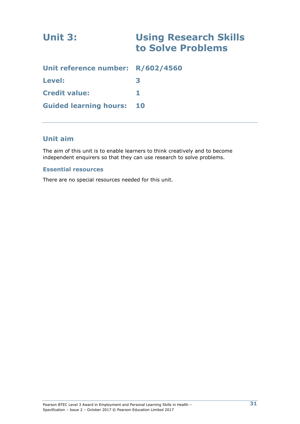| Unit 3:                           | <b>Using Research Skills</b><br>to Solve Problems |
|-----------------------------------|---------------------------------------------------|
| Unit reference number: R/602/4560 |                                                   |
| Level:                            | 3                                                 |
| <b>Credit value:</b>              | 1.                                                |
| <b>Guided learning hours:</b>     | 10                                                |

### **Unit aim**

The aim of this unit is to enable learners to think creatively and to become independent enquirers so that they can use research to solve problems.

### **Essential resources**

There are no special resources needed for this unit.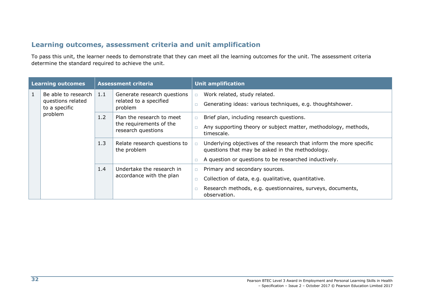### **Learning outcomes, assessment criteria and unit amplification**

To pass this unit, the learner needs to demonstrate that they can meet all the learning outcomes for the unit. The assessment criteria determine the standard required to achieve the unit.

| <b>Learning outcomes</b> |                                          | <b>Assessment criteria</b> |                                                       |        | <b>Unit amplification</b>                                                                                              |  |
|--------------------------|------------------------------------------|----------------------------|-------------------------------------------------------|--------|------------------------------------------------------------------------------------------------------------------------|--|
| 1                        | Be able to research<br>questions related | $\vert 1.1 \vert$          | Generate research questions<br>related to a specified | $\Box$ | Work related, study related.<br>Generating ideas: various techniques, e.g. thoughtshower.                              |  |
|                          | to a specific<br>problem                 |                            | problem                                               |        |                                                                                                                        |  |
|                          |                                          | 1.2                        | Plan the research to meet                             | $\Box$ | Brief plan, including research questions.                                                                              |  |
|                          |                                          |                            | the requirements of the<br>research questions         |        | Any supporting theory or subject matter, methodology, methods,<br>timescale.                                           |  |
|                          |                                          | 1.3                        | Relate research questions to<br>the problem           | $\Box$ | Underlying objectives of the research that inform the more specific<br>questions that may be asked in the methodology. |  |
|                          |                                          |                            |                                                       |        | A question or questions to be researched inductively.                                                                  |  |
|                          |                                          | 1.4                        | Undertake the research in                             |        | Primary and secondary sources.                                                                                         |  |
|                          |                                          |                            | accordance with the plan                              |        | Collection of data, e.g. qualitative, quantitative.                                                                    |  |
|                          |                                          |                            |                                                       |        | Research methods, e.g. questionnaires, surveys, documents,<br>observation.                                             |  |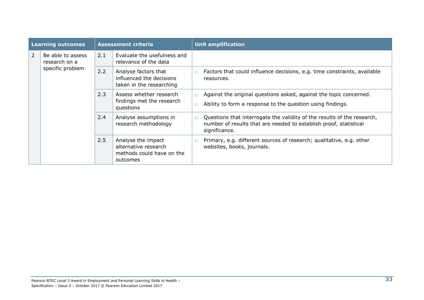| <b>Learning outcomes</b> |                                                        | <b>Assessment criteria</b> |                                                                                     | <b>Unit amplification</b>                                                                                                                                               |  |
|--------------------------|--------------------------------------------------------|----------------------------|-------------------------------------------------------------------------------------|-------------------------------------------------------------------------------------------------------------------------------------------------------------------------|--|
| $\overline{2}$           | Be able to assess<br>research on a<br>specific problem | 2.1                        | Evaluate the usefulness and<br>relevance of the data                                |                                                                                                                                                                         |  |
|                          |                                                        | 2.2                        | Analyse factors that<br>influenced the decisions<br>taken in the researching        | Factors that could influence decisions, e.g. time constraints, available<br>$\Box$<br>resources.                                                                        |  |
|                          |                                                        | 2.3                        | Assess whether research<br>findings met the research<br>questions                   | Against the original questions asked, against the topic concerned.<br>$\Box$<br>Ability to form a response to the question using findings.<br>□                         |  |
|                          |                                                        | 2.4                        | Analyse assumptions in<br>research methodology                                      | Questions that interrogate the validity of the results of the research,<br>$\Box$<br>number of results that are needed to establish proof, statistical<br>significance. |  |
|                          |                                                        | 2.5                        | Analyse the impact<br>alternative research<br>methods could have on the<br>outcomes | Primary, e.g. different sources of research; qualitative, e.g. other<br>$\Box$<br>websites, books, journals.                                                            |  |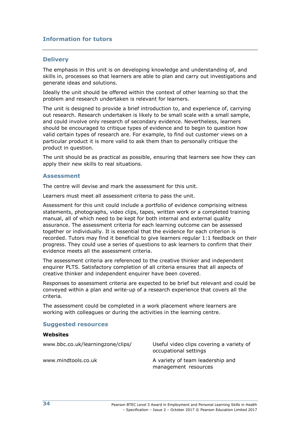### **Information for tutors**

#### **Delivery**

The emphasis in this unit is on developing knowledge and understanding of, and skills in, processes so that learners are able to plan and carry out investigations and generate ideas and solutions.

Ideally the unit should be offered within the context of other learning so that the problem and research undertaken is relevant for learners.

The unit is designed to provide a brief introduction to, and experience of, carrying out research. Research undertaken is likely to be small scale with a small sample, and could involve only research of secondary evidence. Nevertheless, learners should be encouraged to critique types of evidence and to begin to question how valid certain types of research are. For example, to find out customer views on a particular product it is more valid to ask them than to personally critique the product in question.

The unit should be as practical as possible, ensuring that learners see how they can apply their new skills to real situations.

#### **Assessment**

The centre will devise and mark the assessment for this unit.

Learners must meet all assessment criteria to pass the unit.

Assessment for this unit could include a portfolio of evidence comprising witness statements, photographs, video clips, tapes, written work or a completed training manual, all of which need to be kept for both internal and external quality assurance. The assessment criteria for each learning outcome can be assessed together or individually. It is essential that the evidence for each criterion is recorded. Tutors may find it beneficial to give learners regular 1:1 feedback on their progress. They could use a series of questions to ask learners to confirm that their evidence meets all the assessment criteria.

The assessment criteria are referenced to the creative thinker and independent enquirer PLTS. Satisfactory completion of all criteria ensures that all aspects of creative thinker and independent enquirer have been covered.

Responses to assessment criteria are expected to be brief but relevant and could be conveyed within a plan and write-up of a research experience that covers all the criteria.

The assessment could be completed in a work placement where learners are working with colleagues or during the activities in the learning centre.

#### **Suggested resources**

#### **Websites**

| www.bbc.co.uk/learningzone/clips/ | Useful video clips covering a variety of<br>occupational settings |
|-----------------------------------|-------------------------------------------------------------------|
| www.mindtools.co.uk               | A variety of team leadership and<br>management resources          |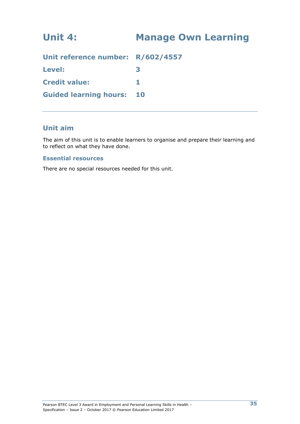## **Unit 4: Manage Own Learning**

| Unit reference number: R/602/4557 |  |
|-----------------------------------|--|
| <b>Level:</b>                     |  |
| <b>Credit value:</b>              |  |
| <b>Guided learning hours: 10</b>  |  |

### **Unit aim**

The aim of this unit is to enable learners to organise and prepare their learning and to reflect on what they have done.

### **Essential resources**

There are no special resources needed for this unit.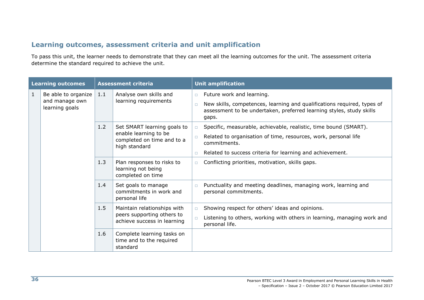### **Learning outcomes, assessment criteria and unit amplification**

To pass this unit, the learner needs to demonstrate that they can meet all the learning outcomes for the unit. The assessment criteria determine the standard required to achieve the unit.

| <b>Learning outcomes</b> |                                                         |     | <b>Assessment criteria</b>                                                                          |                                                                                                                                                                                                                                                                                                                                                                                                                                                                                           | <b>Unit amplification</b><br>New skills, competences, learning and qualifications required, types of                                         |  |  |  |
|--------------------------|---------------------------------------------------------|-----|-----------------------------------------------------------------------------------------------------|-------------------------------------------------------------------------------------------------------------------------------------------------------------------------------------------------------------------------------------------------------------------------------------------------------------------------------------------------------------------------------------------------------------------------------------------------------------------------------------------|----------------------------------------------------------------------------------------------------------------------------------------------|--|--|--|
| $\mathbf{1}$             | Be able to organize<br>and manage own<br>learning goals | 1.1 | Analyse own skills and<br>learning requirements                                                     | Future work and learning.<br>$\Box$<br>$\Box$<br>gaps.                                                                                                                                                                                                                                                                                                                                                                                                                                    |                                                                                                                                              |  |  |  |
|                          |                                                         | 1.2 | Set SMART learning goals to<br>enable learning to be<br>completed on time and to a<br>high standard | assessment to be undertaken, preferred learning styles, study skills<br>Specific, measurable, achievable, realistic, time bound (SMART).<br>$\Box$<br>Related to organisation of time, resources, work, personal life<br>$\Box$<br>commitments.<br>Related to success criteria for learning and achievement.<br>$\Box$<br>Conflicting priorities, motivation, skills gaps.<br>$\Box$<br>Punctuality and meeting deadlines, managing work, learning and<br>$\Box$<br>personal commitments. |                                                                                                                                              |  |  |  |
|                          |                                                         | 1.3 | Plan responses to risks to<br>learning not being<br>completed on time                               |                                                                                                                                                                                                                                                                                                                                                                                                                                                                                           |                                                                                                                                              |  |  |  |
|                          |                                                         | 1.4 | Set goals to manage<br>commitments in work and<br>personal life                                     |                                                                                                                                                                                                                                                                                                                                                                                                                                                                                           |                                                                                                                                              |  |  |  |
|                          |                                                         | 1.5 | Maintain relationships with<br>peers supporting others to<br>achieve success in learning            | $\Box$<br>$\Box$                                                                                                                                                                                                                                                                                                                                                                                                                                                                          | Showing respect for others' ideas and opinions.<br>Listening to others, working with others in learning, managing work and<br>personal life. |  |  |  |
|                          |                                                         | 1.6 | Complete learning tasks on<br>time and to the required<br>standard                                  |                                                                                                                                                                                                                                                                                                                                                                                                                                                                                           |                                                                                                                                              |  |  |  |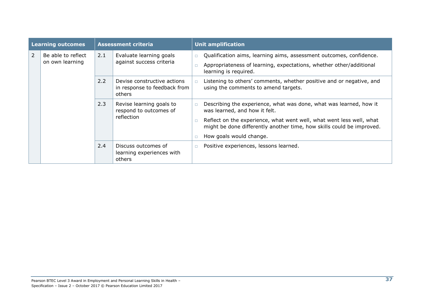|                | <b>Learning outcomes</b>              |                                                                                                                                | <b>Assessment criteria</b>                                           | <b>Unit amplification</b> |                                                                                                                                                                                                                                                                                 |
|----------------|---------------------------------------|--------------------------------------------------------------------------------------------------------------------------------|----------------------------------------------------------------------|---------------------------|---------------------------------------------------------------------------------------------------------------------------------------------------------------------------------------------------------------------------------------------------------------------------------|
| $\overline{2}$ | Be able to reflect<br>on own learning | 2.1                                                                                                                            | Evaluate learning goals<br>against success criteria                  | $\Box$<br>$\Box$          | Qualification aims, learning aims, assessment outcomes, confidence.<br>Appropriateness of learning, expectations, whether other/additional<br>learning is required.                                                                                                             |
|                |                                       | 2.2<br>Devise constructive actions<br>$\Box$<br>using the comments to amend targets.<br>in response to feedback from<br>others | Listening to others' comments, whether positive and or negative, and |                           |                                                                                                                                                                                                                                                                                 |
|                |                                       | 2.3                                                                                                                            | Revise learning goals to<br>respond to outcomes of<br>reflection     | $\Box$<br>$\Box$          | Describing the experience, what was done, what was learned, how it<br>was learned, and how it felt.<br>Reflect on the experience, what went well, what went less well, what<br>might be done differently another time, how skills could be improved.<br>How goals would change. |
|                |                                       | 2.4                                                                                                                            | Discuss outcomes of<br>learning experiences with<br>others           | $\Box$                    | Positive experiences, lessons learned.                                                                                                                                                                                                                                          |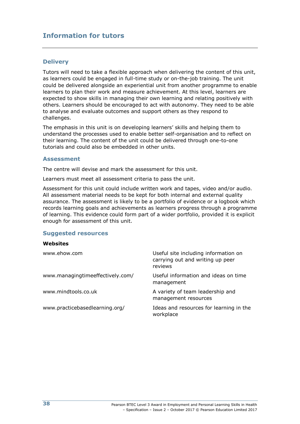### **Information for tutors**

#### **Delivery**

Tutors will need to take a flexible approach when delivering the content of this unit, as learners could be engaged in full-time study or on-the-job training. The unit could be delivered alongside an experiential unit from another programme to enable learners to plan their work and measure achievement. At this level, learners are expected to show skills in managing their own learning and relating positively with others. Learners should be encouraged to act with autonomy. They need to be able to analyse and evaluate outcomes and support others as they respond to challenges.

The emphasis in this unit is on developing learners' skills and helping them to understand the processes used to enable better self-organisation and to reflect on their learning. The content of the unit could be delivered through one-to-one tutorials and could also be embedded in other units.

#### **Assessment**

The centre will devise and mark the assessment for this unit.

Learners must meet all assessment criteria to pass the unit.

Assessment for this unit could include written work and tapes, video and/or audio. All assessment material needs to be kept for both internal and external quality assurance. The assessment is likely to be a portfolio of evidence or a logbook which records learning goals and achievements as learners progress through a programme of learning. This evidence could form part of a wider portfolio, provided it is explicit enough for assessment of this unit.

#### **Suggested resources**

#### **Websites**

| www.ehow.com                     | Useful site including information on<br>carrying out and writing up peer<br>reviews |
|----------------------------------|-------------------------------------------------------------------------------------|
| www.managingtimeeffectively.com/ | Useful information and ideas on time<br>management                                  |
| www.mindtools.co.uk              | A variety of team leadership and<br>management resources                            |
| www.practicebasedlearning.org/   | Ideas and resources for learning in the<br>workplace                                |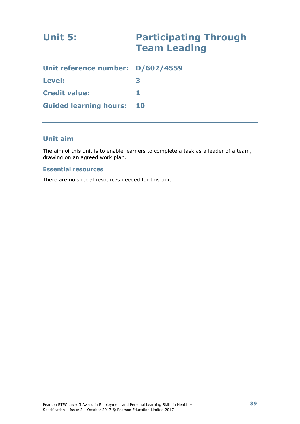# **Unit 5: Participating Through Team Leading**

| Unit reference number: D/602/4559 |  |
|-----------------------------------|--|
| Level:                            |  |
| <b>Credit value:</b>              |  |
| <b>Guided learning hours: 10</b>  |  |

### **Unit aim**

The aim of this unit is to enable learners to complete a task as a leader of a team, drawing on an agreed work plan.

### **Essential resources**

There are no special resources needed for this unit.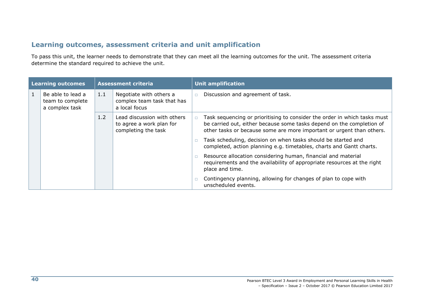### **Learning outcomes, assessment criteria and unit amplification**

To pass this unit, the learner needs to demonstrate that they can meet all the learning outcomes for the unit. The assessment criteria determine the standard required to achieve the unit.

| Learning outcomes |                                                         |     | <b>Assessment criteria</b>                                                     |        | <b>Unit amplification</b>                                                                                                                                                                                                   |
|-------------------|---------------------------------------------------------|-----|--------------------------------------------------------------------------------|--------|-----------------------------------------------------------------------------------------------------------------------------------------------------------------------------------------------------------------------------|
| 1                 | Be able to lead a<br>team to complete<br>a complex task | 1.1 | Negotiate with others a<br>complex team task that has<br>a local focus         | $\Box$ | Discussion and agreement of task.                                                                                                                                                                                           |
|                   |                                                         | 1.2 | Lead discussion with others<br>to agree a work plan for<br>completing the task |        | Task sequencing or prioritising to consider the order in which tasks must<br>be carried out, either because some tasks depend on the completion of<br>other tasks or because some are more important or urgent than others. |
|                   |                                                         |     |                                                                                |        | Task scheduling, decision on when tasks should be started and<br>completed, action planning e.g. timetables, charts and Gantt charts.                                                                                       |
|                   |                                                         |     |                                                                                |        |                                                                                                                                                                                                                             |
|                   |                                                         |     |                                                                                |        | Contingency planning, allowing for changes of plan to cope with<br>unscheduled events.                                                                                                                                      |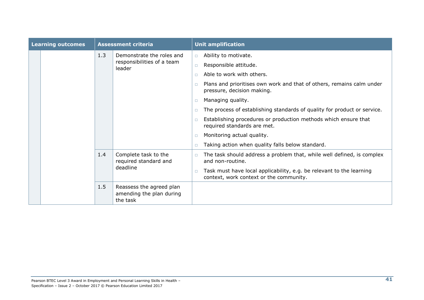|  | <b>Learning outcomes</b> |     | <b>Assessment criteria</b>                                        |                                                                                        | <b>Unit amplification</b>                                                                                                                                                                                                                                                                                                                                                                                                                                              |
|--|--------------------------|-----|-------------------------------------------------------------------|----------------------------------------------------------------------------------------|------------------------------------------------------------------------------------------------------------------------------------------------------------------------------------------------------------------------------------------------------------------------------------------------------------------------------------------------------------------------------------------------------------------------------------------------------------------------|
|  |                          | 1.3 | Demonstrate the roles and<br>responsibilities of a team<br>leader | $\Box$<br>$\Box$<br>$\Box$<br>$\Box$<br>$\Box$<br>$\Box$<br>$\Box$<br>$\Box$<br>$\Box$ | Ability to motivate.<br>Responsible attitude.<br>Able to work with others.<br>Plans and prioritises own work and that of others, remains calm under<br>pressure, decision making.<br>Managing quality.<br>The process of establishing standards of quality for product or service.<br>Establishing procedures or production methods which ensure that<br>required standards are met.<br>Monitoring actual quality.<br>Taking action when quality falls below standard. |
|  |                          | 1.4 | Complete task to the<br>required standard and<br>deadline         | $\Box$<br>$\Box$                                                                       | The task should address a problem that, while well defined, is complex<br>and non-routine.<br>Task must have local applicability, e.g. be relevant to the learning<br>context, work context or the community.                                                                                                                                                                                                                                                          |
|  |                          | 1.5 | Reassess the agreed plan<br>amending the plan during<br>the task  |                                                                                        |                                                                                                                                                                                                                                                                                                                                                                                                                                                                        |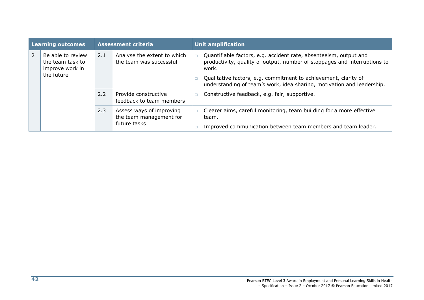|                | Learning outcomes                                                      |     | <b>Assessment criteria</b>                             | <b>Unit amplification</b> |                                                                                                                                                         |
|----------------|------------------------------------------------------------------------|-----|--------------------------------------------------------|---------------------------|---------------------------------------------------------------------------------------------------------------------------------------------------------|
| $\overline{2}$ | Be able to review<br>the team task to<br>improve work in<br>the future | 2.1 | Analyse the extent to which<br>the team was successful |                           | Quantifiable factors, e.g. accident rate, absenteeism, output and<br>productivity, quality of output, number of stoppages and interruptions to<br>work. |
|                |                                                                        |     |                                                        |                           | Qualitative factors, e.g. commitment to achievement, clarity of<br>understanding of team's work, idea sharing, motivation and leadership.               |
|                |                                                                        | 2.2 | Provide constructive<br>feedback to team members       |                           | Constructive feedback, e.g. fair, supportive.                                                                                                           |
|                |                                                                        | 2.3 | Assess ways of improving<br>the team management for    |                           | Clearer aims, careful monitoring, team building for a more effective<br>team.                                                                           |
|                |                                                                        |     | future tasks                                           |                           | Improved communication between team members and team leader.                                                                                            |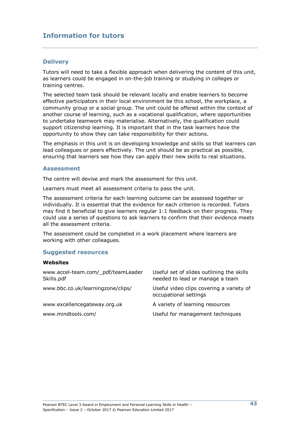### **Information for tutors**

#### **Delivery**

Tutors will need to take a flexible approach when delivering the content of this unit, as learners could be engaged in on-the-job training or studying in colleges or training centres.

The selected team task should be relevant locally and enable learners to become effective participators in their local environment be this school, the workplace, a community group or a social group. The unit could be offered within the context of another course of learning, such as a vocational qualification, where opportunities to undertake teamwork may materialise. Alternatively, the qualification could support citizenship learning. It is important that in the task learners have the opportunity to show they can take responsibility for their actions.

The emphasis in this unit is on developing knowledge and skills so that learners can lead colleagues or peers effectively. The unit should be as practical as possible, ensuring that learners see how they can apply their new skills to real situations.

#### **Assessment**

The centre will devise and mark the assessment for this unit.

Learners must meet all assessment criteria to pass the unit.

The assessment criteria for each learning outcome can be assessed together or individually. It is essential that the evidence for each criterion is recorded. Tutors may find it beneficial to give learners regular 1:1 feedback on their progress. They could use a series of questions to ask learners to confirm that their evidence meets all the assessment criteria.

The assessment could be completed in a work placement where learners are working with other colleagues.

#### **Suggested resources**

#### **Websites**

| www.accel-team.com/_pdf/teamLeader<br>Skills.pdf | Useful set of slides outlining the skills<br>needed to lead or manage a team |
|--------------------------------------------------|------------------------------------------------------------------------------|
| www.bbc.co.uk/learningzone/clips/                | Useful video clips covering a variety of<br>occupational settings            |
| www.excellencegateway.org.uk                     | A variety of learning resources                                              |
| www.mindtools.com/                               | Useful for management techniques                                             |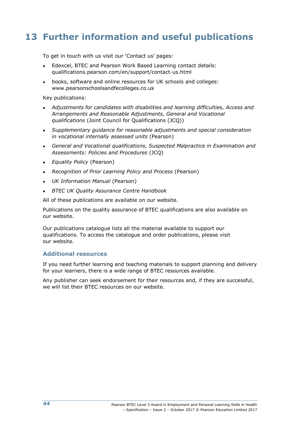## **13 Further information and useful publications**

To get in touch with us visit our 'Contact us' pages:

- Edexcel, BTEC and Pearson Work Based Learning contact details: qualifications.pearson.com/en/support/contact-us.html
- books, software and online resources for UK schools and colleges: www.pearsonschoolsandfecolleges.co.uk

Key publications:

- *Adjustments for candidates with disabilities and learning difficulties, Access and Arrangements and Reasonable Adjustments, General and Vocational qualifications* (Joint Council for Qualifications (JCQ))
- *Supplementary guidance for reasonable adjustments and special consideration in vocational internally assessed units* (Pearson)
- *General and Vocational qualifications, Suspected Malpractice in Examination and Assessments: Policies and Procedures* (JCQ)
- *Equality Policy* (Pearson)
- *Recognition of Prior Learning Policy and Process* (Pearson)
- *UK Information Manual* (Pearson)
- *BTEC UK Quality Assurance Centre Handbook*

All of these publications are available on our website.

Publications on the quality assurance of BTEC qualifications are also available on our website.

Our publications catalogue lists all the material available to support our qualifications. To access the catalogue and order publications, please visit our website.

#### **Additional resources**

If you need further learning and teaching materials to support planning and delivery for your learners, there is a wide range of BTEC resources available.

Any publisher can seek endorsement for their resources and, if they are successful, we will list their BTEC resources on our website.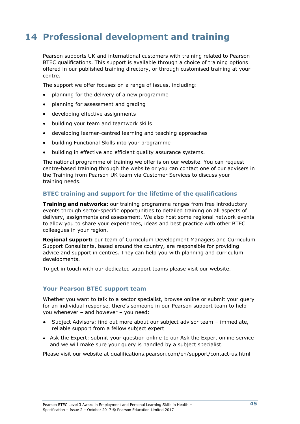## **14 Professional development and training**

Pearson supports UK and international customers with training related to Pearson BTEC qualifications. This support is available through a choice of training options offered in our published training directory, or through customised training at your centre.

The support we offer focuses on a range of issues, including:

- planning for the delivery of a new programme
- planning for assessment and grading
- developing effective assignments
- building your team and teamwork skills
- developing learner-centred learning and teaching approaches
- building Functional Skills into your programme
- building in effective and efficient quality assurance systems.

The national programme of training we offer is on our website. You can request centre-based training through the website or you can contact one of our advisers in the Training from Pearson UK team via Customer Services to discuss your training needs.

### **BTEC training and support for the lifetime of the qualifications**

**Training and networks:** our training programme ranges from free introductory events through sector-specific opportunities to detailed training on all aspects of delivery, assignments and assessment. We also host some regional network events to allow you to share your experiences, ideas and best practice with other BTEC colleagues in your region.

**Regional support:** our team of Curriculum Development Managers and Curriculum Support Consultants, based around the country, are responsible for providing advice and support in centres. They can help you with planning and curriculum developments.

To get in touch with our dedicated support teams please visit our website.

#### **Your Pearson BTEC support team**

Whether you want to talk to a sector specialist, browse online or submit your query for an individual response, there's someone in our Pearson support team to help you whenever – and however – you need:

- Subject Advisors: find out more about our subject advisor team immediate, reliable support from a fellow subject expert
- Ask the Expert: submit your question online to our Ask the Expert online service and we will make sure your query is handled by a subject specialist.

Please visit our website at qualifications.pearson.com/en/support/contact-us.html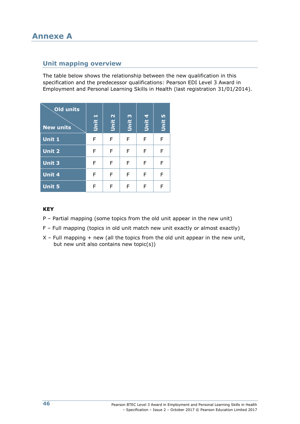### **Unit mapping overview**

The table below shows the relationship between the new qualification in this specification and the predecessor qualifications: Pearson EDI Level 3 Award in Employment and Personal Learning Skills in Health (last registration 31/01/2014).

| Old units<br><b>New units</b> | Unit 1 | Unit 2 | Unit 3 | Unit 4 | Unit 5 |
|-------------------------------|--------|--------|--------|--------|--------|
| Unit 1                        | F      | F      | F      | F      | F      |
| <b>Unit 2</b>                 | F      | F      | F      | F      | F      |
| <b>Unit 3</b>                 | F      | F      | F      | F      | F      |
| <b>Unit 4</b>                 | F      | F      | F      | F      | F      |
| <b>Unit 5</b>                 | F      | F      | F      | F      | F      |

### **KEY**

- P Partial mapping (some topics from the old unit appear in the new unit)
- F Full mapping (topics in old unit match new unit exactly or almost exactly)
- $X$  Full mapping + new (all the topics from the old unit appear in the new unit, but new unit also contains new topic(s))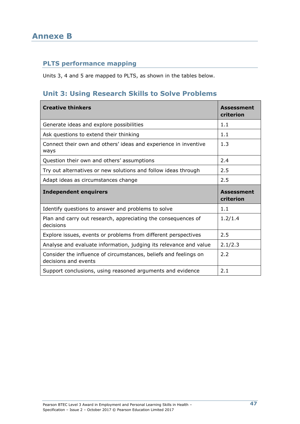### **PLTS performance mapping**

Units 3, 4 and 5 are mapped to PLTS, as shown in the tables below.

### **Unit 3: Using Research Skills to Solve Problems**

| <b>Creative thinkers</b>                                                                 | <b>Assessment</b><br>criterion |
|------------------------------------------------------------------------------------------|--------------------------------|
| Generate ideas and explore possibilities                                                 | 1.1                            |
| Ask questions to extend their thinking                                                   | 1.1                            |
| Connect their own and others' ideas and experience in inventive<br>ways                  | 1.3                            |
| Question their own and others' assumptions                                               | 2.4                            |
| Try out alternatives or new solutions and follow ideas through                           | 2.5                            |
| Adapt ideas as circumstances change                                                      | 2.5                            |
|                                                                                          |                                |
| <b>Independent enquirers</b>                                                             | <b>Assessment</b><br>criterion |
| Identify questions to answer and problems to solve                                       | 1.1                            |
| Plan and carry out research, appreciating the consequences of<br>decisions               | 1.2/1.4                        |
| Explore issues, events or problems from different perspectives                           | 2.5                            |
| Analyse and evaluate information, judging its relevance and value                        | 2.1/2.3                        |
| Consider the influence of circumstances, beliefs and feelings on<br>decisions and events | 2.2                            |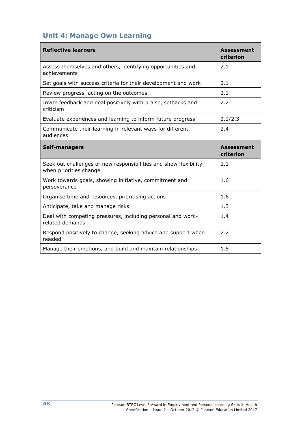### **Unit 4: Manage Own Learning**

| <b>Reflective learners</b>                                                                 | <b>Assessment</b><br>criterion |
|--------------------------------------------------------------------------------------------|--------------------------------|
| Assess themselves and others, identifying opportunities and<br>achievements                | 2.1                            |
| Set goals with success criteria for their development and work                             | 2.1                            |
| Review progress, acting on the outcomes                                                    | 2.1                            |
| Invite feedback and deal positively with praise, setbacks and<br>criticism                 | 2.2                            |
| Evaluate experiences and learning to inform future progress                                | 2.1/2.3                        |
| Communicate their learning in relevant ways for different<br>audiences                     | 2.4                            |
| <b>Self-managers</b>                                                                       | <b>Assessment</b><br>criterion |
| Seek out challenges or new responsibilities and show flexibility<br>when priorities change | 1.1                            |
| Work towards goals, showing initiative, commitment and<br>perseverance                     | 1.6                            |
| Organise time and resources, prioritising actions                                          | 1.6                            |
| Anticipate, take and manage risks                                                          | 1.3                            |
| Deal with competing pressures, including personal and work-<br>related demands             | 1.4                            |
| Respond positively to change, seeking advice and support when<br>needed                    | 2.2                            |
| Manage their emotions, and build and maintain relationships                                | 1.5                            |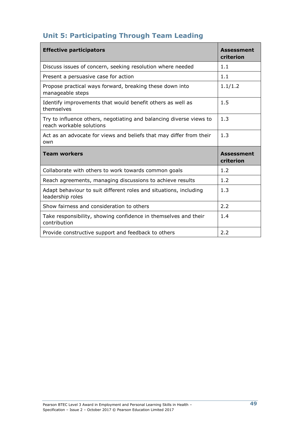### **Unit 5: Participating Through Team Leading**

| <b>Effective participators</b>                                                                  | <b>Assessment</b><br>criterion |
|-------------------------------------------------------------------------------------------------|--------------------------------|
| Discuss issues of concern, seeking resolution where needed                                      | 1.1                            |
| Present a persuasive case for action                                                            | 1.1                            |
| Propose practical ways forward, breaking these down into<br>manageable steps                    | 1.1/1.2                        |
| Identify improvements that would benefit others as well as<br>themselves                        | 1.5                            |
| Try to influence others, negotiating and balancing diverse views to<br>reach workable solutions | 1.3                            |
| Act as an advocate for views and beliefs that may differ from their<br>own                      | 1.3                            |
| <b>Team workers</b>                                                                             | <b>Assessment</b><br>criterion |
| Collaborate with others to work towards common goals                                            | 1.2                            |
| Reach agreements, managing discussions to achieve results                                       | 1.2                            |
| Adapt behaviour to suit different roles and situations, including<br>leadership roles           | 1.3                            |
| Show fairness and consideration to others                                                       | 2.2                            |
| Take responsibility, showing confidence in themselves and their<br>contribution                 | 1.4                            |
| Provide constructive support and feedback to others                                             | 2.2                            |